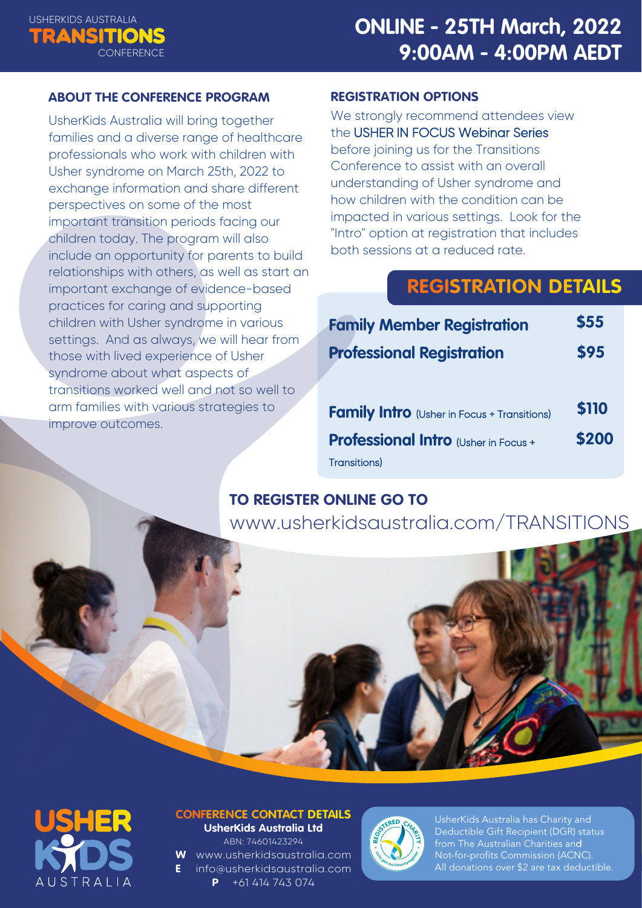

#### **ABOUT THE CONFERENCE PROGRAM**

UsherKids Australia will bring together families and a diverse range of healthcare professionals who work with children with Usher syndrome on March 25th, 2022 to exchange information and share different perspectives on some of the most important transition periods facing our children today. The program will also include an opportunity for parents to build relationships with others, as well as start an important exchange of evidence-based practices for caring and supporting children with Usher syndrome in various settings. And as always, we will hear from those with lived experience of Usher syndrome about what aspects of transitions worked well and not so well to arm families with various strategies to improve outcomes.

#### **REGISTRATION OPTIONS**

We strongly recommend attendees view the USHER IN FOCUS Webinar Series before joining us for the Transitions Conference to assist with an overall understanding of Usher syndrome and how children with the condition can be impacted in various settings. Look for the "Intro" option at registration that includes both sessions at a reduced rate.

## **REGISTRATION DETAILS**

| <b>Family Member Registration</b>                  | \$55  |
|----------------------------------------------------|-------|
| <b>Professional Registration</b>                   | \$95  |
|                                                    |       |
| <b>Family Intro</b> (Usher in Focus + Transitions) | \$110 |
| <b>Professional Intro (Usher in Focus +</b>        | \$200 |
| Transitions)                                       |       |

## **TO REGISTER ONLINE GO TO**

[www.usherkidsaustralia.com/TRANSITIONS](https://events.eventzilla.net/e/usherkids-australia-transitions-conference--2138826327?preview=1647813791756)



#### **CONFERENCE CONTACT DETAILS UsherKids Australia Ltd** ABN: 74601423294

**W** [www.usherkidsaustralia.com](http://www.usherkidsaustralia.com) **E** [info@usherkidsaustralia.com](mailto:info@usherkidsaustralia.com) **P** +61 414 743 074



UsherKids Australia has Charity and Deductible Gift Recipient (DGR) status from The Australian Charities and Not-for-profits Commission (ACNC). All donations over \$2 are tax deductible.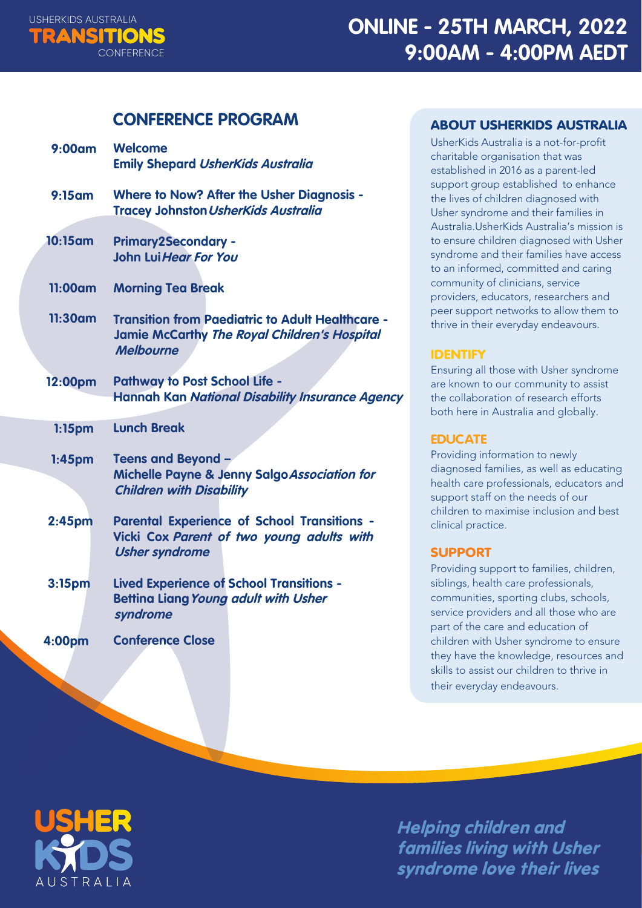

### **CONFERENCE PROGRAM**

| 9:00am             | <b>Welcome</b><br><b>Emily Shepard UsherKids Australia</b>                                                                         |
|--------------------|------------------------------------------------------------------------------------------------------------------------------------|
| 9:15am             | <b>Where to Now? After the Usher Diagnosis -</b><br><b>Tracey Johnston UsherKids Australia</b>                                     |
| $10:15$ am         | <b>Primary2Secondary -</b><br>John Lui Hear For You                                                                                |
| 11:00am            | <b>Morning Tea Break</b>                                                                                                           |
| 11:30am            | <b>Transition from Paediatric to Adult Healthcare -</b><br><b>Jamie McCarthy The Royal Children's Hospital</b><br><b>Melbourne</b> |
| 12:00pm            | <b>Pathway to Post School Life -</b><br><b>Hannah Kan National Disability Insurance Agency</b>                                     |
| $1:15$ pm          | <b>Lunch Break</b>                                                                                                                 |
| $1:45$ pm          | Teens and Beyond -<br>Michelle Payne & Jenny Salgo Association for<br><b>Children with Disability</b>                              |
| 2:45pm             | <b>Parental Experience of School Transitions -</b><br>Vicki Cox Parent of two young adults with<br><b>Usher syndrome</b>           |
| 3:15 <sub>pm</sub> | <b>Lived Experience of School Transitions -</b><br><b>Bettina Liang Young adult with Usher</b><br>syndrome                         |
| 4:00pm             | <b>Conference Close</b>                                                                                                            |

#### ABOUT USHERKIDS AUSTRALIA

UsherKids Australia is a not-for-profit charitable organisation that was established in 2016 as a parent-led support group established to enhance the lives of children diagnosed with Usher syndrome and their families in Australia.UsherKids Australia's mission is to ensure children diagnosed with Usher syndrome and their families have access to an informed, committed and caring community of clinicians, service providers, educators, researchers and peer support networks to allow them to thrive in their everyday endeavours.

#### IDENTIFY

Ensuring all those with Usher syndrome are known to our community to assist the collaboration of research efforts both here in Australia and globally.

#### **EDUCATE**

Providing information to newly diagnosed families, as well as educating health care professionals, educators and support staff on the needs of our children to maximise inclusion and best clinical practice.

#### SUPPORT

Providing support to families, children, siblings, health care professionals, communities, sporting clubs, schools, service providers and all those who are part of the care and education of children with Usher syndrome to ensure they have the knowledge, resources and skills to assist our children to thrive in their everyday endeavours.



**Helping children and families living with Usher syndrome love their lives**